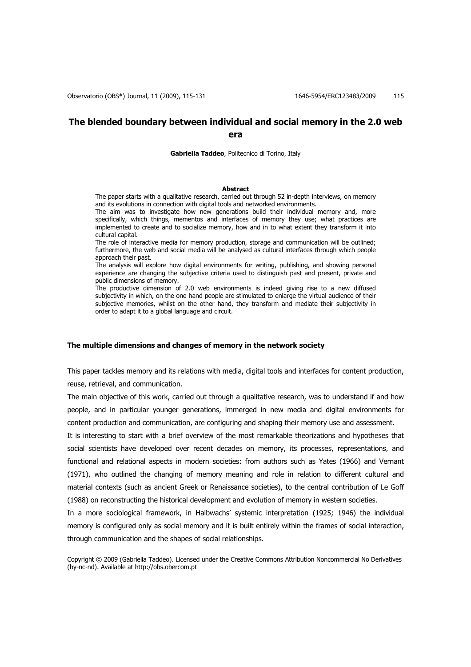# **The blended boundary between individual and social memory in the 2.0 web era**

**Gabriella Taddeo**, Politecnico di Torino, Italy

### **Abstract**

The paper starts with a qualitative research, carried out through 52 in-depth interviews, on memory and its evolutions in connection with digital tools and networked environments.

The aim was to investigate how new generations build their individual memory and, more specifically, which things, mementos and interfaces of memory they use; what practices are implemented to create and to socialize memory, how and in to what extent they transform it into cultural capital.

The role of interactive media for memory production, storage and communication will be outlined; furthermore, the web and social media will be analysed as cultural interfaces through which people approach their past.

The analysis will explore how digital environments for writing, publishing, and showing personal experience are changing the subjective criteria used to distinguish past and present, private and public dimensions of memory.

The productive dimension of 2.0 web environments is indeed giving rise to a new diffused subjectivity in which, on the one hand people are stimulated to enlarge the virtual audience of their subjective memories, whilst on the other hand, they transform and mediate their subjectivity in order to adapt it to a global language and circuit.

## **The multiple dimensions and changes of memory in the network society**

This paper tackles memory and its relations with media, digital tools and interfaces for content production, reuse, retrieval, and communication.

The main objective of this work, carried out through a qualitative research, was to understand if and how people, and in particular younger generations, immerged in new media and digital environments for content production and communication, are configuring and shaping their memory use and assessment.

It is interesting to start with a brief overview of the most remarkable theorizations and hypotheses that social scientists have developed over recent decades on memory, its processes, representations, and functional and relational aspects in modern societies: from authors such as Yates (1966) and Vernant (1971), who outlined the changing of memory meaning and role in relation to different cultural and material contexts (such as ancient Greek or Renaissance societies), to the central contribution of Le Goff (1988) on reconstructing the historical development and evolution of memory in western societies.

In a more sociological framework, in Halbwachs' systemic interpretation (1925; 1946) the individual memory is configured only as social memory and it is built entirely within the frames of social interaction, through communication and the shapes of social relationships.

Copyright © 2009 (Gabriella Taddeo). Licensed under the Creative Commons Attribution Noncommercial No Derivatives (by-nc-nd). Available at http://obs.obercom.pt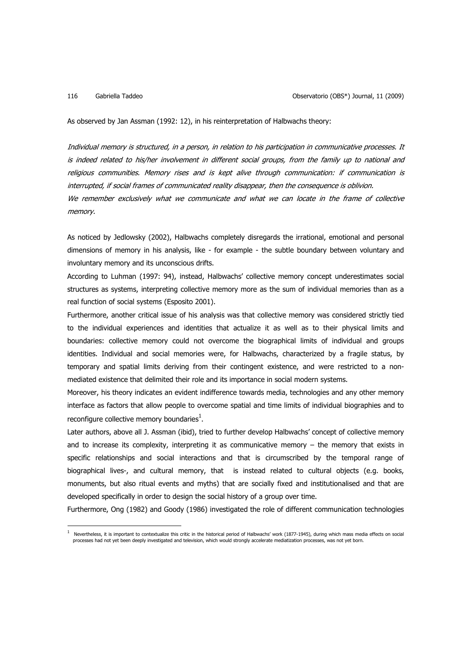$\overline{a}$ 

As observed by Jan Assman (1992: 12), in his reinterpretation of Halbwachs theory:

Individual memory is structured, in a person, in relation to his participation in communicative processes. It is indeed related to his/her involvement in different social groups, from the family up to national and religious communities. Memory rises and is kept alive through communication: if communication is interrupted, if social frames of communicated reality disappear, then the consequence is oblivion. We remember exclusively what we communicate and what we can locate in the frame of collective memory.

As noticed by Jedlowsky (2002), Halbwachs completely disregards the irrational, emotional and personal dimensions of memory in his analysis, like - for example - the subtle boundary between voluntary and involuntary memory and its unconscious drifts.

According to Luhman (1997: 94), instead, Halbwachs' collective memory concept underestimates social structures as systems, interpreting collective memory more as the sum of individual memories than as a real function of social systems (Esposito 2001).

Furthermore, another critical issue of his analysis was that collective memory was considered strictly tied to the individual experiences and identities that actualize it as well as to their physical limits and boundaries: collective memory could not overcome the biographical limits of individual and groups identities. Individual and social memories were, for Halbwachs, characterized by a fragile status, by temporary and spatial limits deriving from their contingent existence, and were restricted to a nonmediated existence that delimited their role and its importance in social modern systems.

Moreover, his theory indicates an evident indifference towards media, technologies and any other memory interface as factors that allow people to overcome spatial and time limits of individual biographies and to reconfigure collective memory boundaries $^1$ .

Later authors, above all J. Assman (ibid), tried to further develop Halbwachs' concept of collective memory and to increase its complexity, interpreting it as communicative memory – the memory that exists in specific relationships and social interactions and that is circumscribed by the temporal range of biographical lives-, and cultural memory, that is instead related to cultural objects (e.g. books, monuments, but also ritual events and myths) that are socially fixed and institutionalised and that are developed specifically in order to design the social history of a group over time.

Furthermore, Ong (1982) and Goody (1986) investigated the role of different communication technologies

<sup>1</sup> Nevertheless, it is important to contextualize this critic in the historical period of Halbwachs' work (1877-1945), during which mass media effects on social processes had not yet been deeply investigated and television, which would strongly accelerate mediatization processes, was not yet born.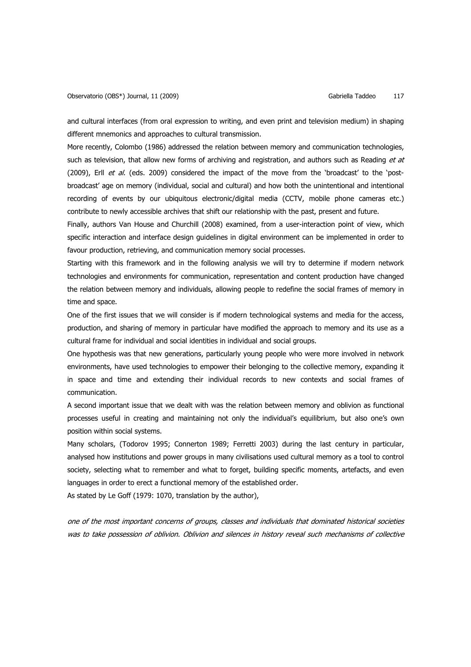and cultural interfaces (from oral expression to writing, and even print and television medium) in shaping different mnemonics and approaches to cultural transmission.

More recently, Colombo (1986) addressed the relation between memory and communication technologies, such as television, that allow new forms of archiving and registration, and authors such as Reading et at (2009), Erll et al. (eds. 2009) considered the impact of the move from the 'broadcast' to the 'postbroadcast' age on memory (individual, social and cultural) and how both the unintentional and intentional recording of events by our ubiquitous electronic/digital media (CCTV, mobile phone cameras etc.) contribute to newly accessible archives that shift our relationship with the past, present and future.

Finally, authors Van House and Churchill (2008) examined, from a user-interaction point of view, which specific interaction and interface design guidelines in digital environment can be implemented in order to favour production, retrieving, and communication memory social processes.

Starting with this framework and in the following analysis we will try to determine if modern network technologies and environments for communication, representation and content production have changed the relation between memory and individuals, allowing people to redefine the social frames of memory in time and space.

One of the first issues that we will consider is if modern technological systems and media for the access, production, and sharing of memory in particular have modified the approach to memory and its use as a cultural frame for individual and social identities in individual and social groups.

One hypothesis was that new generations, particularly young people who were more involved in network environments, have used technologies to empower their belonging to the collective memory, expanding it in space and time and extending their individual records to new contexts and social frames of communication.

A second important issue that we dealt with was the relation between memory and oblivion as functional processes useful in creating and maintaining not only the individual's equilibrium, but also one's own position within social systems.

Many scholars, (Todorov 1995; Connerton 1989; Ferretti 2003) during the last century in particular, analysed how institutions and power groups in many civilisations used cultural memory as a tool to control society, selecting what to remember and what to forget, building specific moments, artefacts, and even languages in order to erect a functional memory of the established order.

As stated by Le Goff (1979: 1070, translation by the author),

one of the most important concerns of groups, classes and individuals that dominated historical societies was to take possession of oblivion. Oblivion and silences in history reveal such mechanisms of collective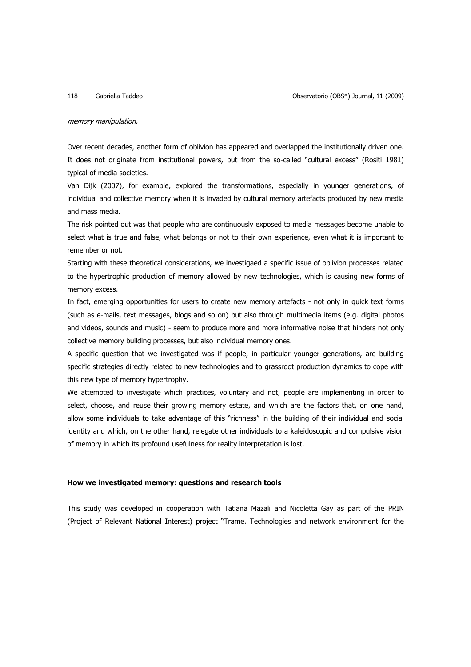### memory manipulation.

Over recent decades, another form of oblivion has appeared and overlapped the institutionally driven one. It does not originate from institutional powers, but from the so-called "cultural excess" (Rositi 1981) typical of media societies.

Van Dijk (2007), for example, explored the transformations, especially in younger generations, of individual and collective memory when it is invaded by cultural memory artefacts produced by new media and mass media.

The risk pointed out was that people who are continuously exposed to media messages become unable to select what is true and false, what belongs or not to their own experience, even what it is important to remember or not.

Starting with these theoretical considerations, we investigaed a specific issue of oblivion processes related to the hypertrophic production of memory allowed by new technologies, which is causing new forms of memory excess.

In fact, emerging opportunities for users to create new memory artefacts - not only in quick text forms (such as e-mails, text messages, blogs and so on) but also through multimedia items (e.g. digital photos and videos, sounds and music) - seem to produce more and more informative noise that hinders not only collective memory building processes, but also individual memory ones.

A specific question that we investigated was if people, in particular younger generations, are building specific strategies directly related to new technologies and to grassroot production dynamics to cope with this new type of memory hypertrophy.

We attempted to investigate which practices, voluntary and not, people are implementing in order to select, choose, and reuse their growing memory estate, and which are the factors that, on one hand, allow some individuals to take advantage of this "richness" in the building of their individual and social identity and which, on the other hand, relegate other individuals to a kaleidoscopic and compulsive vision of memory in which its profound usefulness for reality interpretation is lost.

### **How we investigated memory: questions and research tools**

This study was developed in cooperation with Tatiana Mazali and Nicoletta Gay as part of the PRIN (Project of Relevant National Interest) project "Trame. Technologies and network environment for the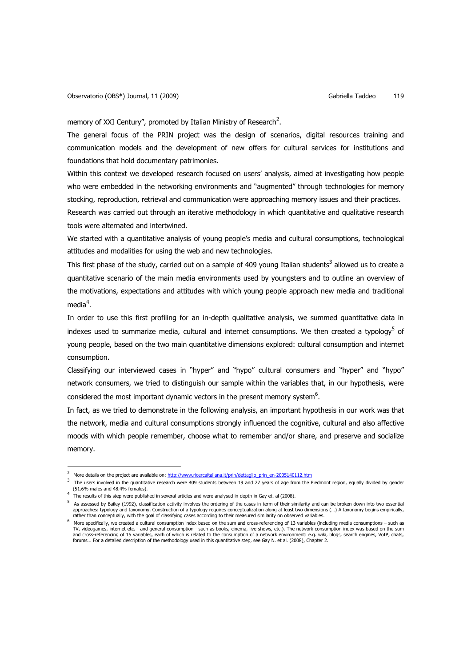memory of XXI Century", promoted by Italian Ministry of Research<sup>2</sup>.

The general focus of the PRIN project was the design of scenarios, digital resources training and communication models and the development of new offers for cultural services for institutions and foundations that hold documentary patrimonies.

Within this context we developed research focused on users' analysis, aimed at investigating how people who were embedded in the networking environments and "augmented" through technologies for memory stocking, reproduction, retrieval and communication were approaching memory issues and their practices. Research was carried out through an iterative methodology in which quantitative and qualitative research tools were alternated and intertwined.

We started with a quantitative analysis of young people's media and cultural consumptions, technological attitudes and modalities for using the web and new technologies.

This first phase of the study, carried out on a sample of 409 young Italian students<sup>3</sup> allowed us to create a quantitative scenario of the main media environments used by youngsters and to outline an overview of the motivations, expectations and attitudes with which young people approach new media and traditional media $^4$ .

In order to use this first profiling for an in-depth qualitative analysis, we summed quantitative data in indexes used to summarize media, cultural and internet consumptions. We then created a typology<sup>5</sup> of young people, based on the two main quantitative dimensions explored: cultural consumption and internet consumption.

Classifying our interviewed cases in "hyper" and "hypo" cultural consumers and "hyper" and "hypo" network consumers, we tried to distinguish our sample within the variables that, in our hypothesis, were considered the most important dynamic vectors in the present memory system $6$ .

In fact, as we tried to demonstrate in the following analysis, an important hypothesis in our work was that the network, media and cultural consumptions strongly influenced the cognitive, cultural and also affective moods with which people remember, choose what to remember and/or share, and preserve and socialize memory.

 $\overline{a}$ 

 $\overline{2}$ More details on the project are available on: http://www.ricercaitaliana.it/prin/dettaglio\_prin\_en-2005140112.htm

 $3$  The users involved in the quantitative research were 409 students between 19 and 27 years of age from the Piedmont region, equally divided by gender (51.6% males and 48.4% females).

<sup>&</sup>lt;sup>4</sup> The results of this step were published in several articles and were analysed in-depth in Gay et. al (2008).

 $^5$  As assessed by Bailey (1992), classification activity involves the ordering of the cases in term of their similarity and can be broken down into two essential approaches: typology and taxonomy. Construction of a typology requires conceptualization along at least two dimensions (…) A taxonomy begins empirically,<br>rather than conceptually, with the goal of classifying cases accordi

<sup>6</sup> More specifically, we created a cultural consumption index based on the sum and cross-referencing of 13 variables (including media consumptions – such as TV, videogames, internet etc. - and general consumption - such as books, cinema, live shows, etc.). The network consumption index was based on the sum and cross-referencing of 15 variables, each of which is related to the consumption of a network environment: e.g. wiki, blogs, search engines, VoIP, chats,<br>forums... For a detailed description of the methodology used in th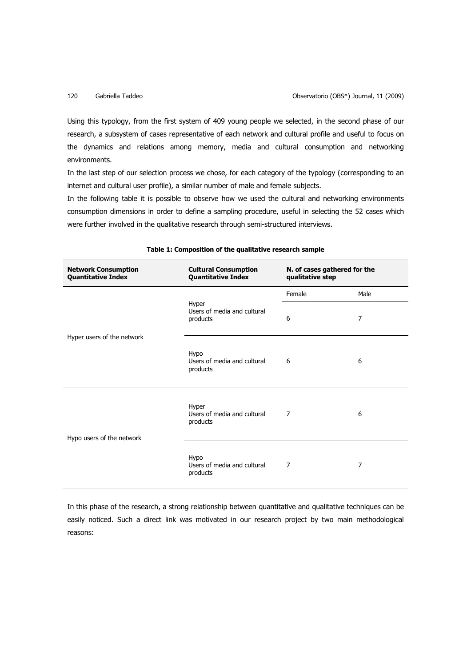Using this typology, from the first system of 409 young people we selected, in the second phase of our research, a subsystem of cases representative of each network and cultural profile and useful to focus on the dynamics and relations among memory, media and cultural consumption and networking environments.

In the last step of our selection process we chose, for each category of the typology (corresponding to an internet and cultural user profile), a similar number of male and female subjects.

In the following table it is possible to observe how we used the cultural and networking environments consumption dimensions in order to define a sampling procedure, useful in selecting the 52 cases which were further involved in the qualitative research through semi-structured interviews.

| <b>Network Consumption</b><br><b>Quantitative Index</b> | <b>Cultural Consumption</b><br><b>Quantitative Index</b> | N. of cases gathered for the<br>qualitative step |                |
|---------------------------------------------------------|----------------------------------------------------------|--------------------------------------------------|----------------|
| Hyper users of the network                              | Hyper<br>Users of media and cultural<br>products         | Female                                           | Male           |
|                                                         |                                                          | 6                                                | $\overline{7}$ |
|                                                         | Hypo<br>Users of media and cultural<br>products          | 6                                                | 6              |
| Hypo users of the network                               | Hyper<br>Users of media and cultural<br>products         | 7                                                | 6              |
|                                                         | <b>Hypo</b><br>Users of media and cultural<br>products   | $\overline{7}$                                   | 7              |

### **Table 1: Composition of the qualitative research sample**

In this phase of the research, a strong relationship between quantitative and qualitative techniques can be easily noticed. Such a direct link was motivated in our research project by two main methodological reasons: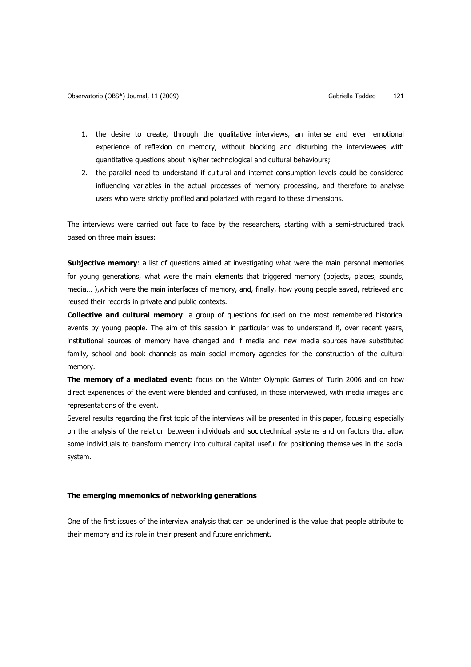- 1. the desire to create, through the qualitative interviews, an intense and even emotional experience of reflexion on memory, without blocking and disturbing the interviewees with quantitative questions about his/her technological and cultural behaviours;
- 2. the parallel need to understand if cultural and internet consumption levels could be considered influencing variables in the actual processes of memory processing, and therefore to analyse users who were strictly profiled and polarized with regard to these dimensions.

The interviews were carried out face to face by the researchers, starting with a semi-structured track based on three main issues:

**Subjective memory**: a list of questions aimed at investigating what were the main personal memories for young generations, what were the main elements that triggered memory (objects, places, sounds, media… ),which were the main interfaces of memory, and, finally, how young people saved, retrieved and reused their records in private and public contexts.

**Collective and cultural memory**: a group of questions focused on the most remembered historical events by young people. The aim of this session in particular was to understand if, over recent years, institutional sources of memory have changed and if media and new media sources have substituted family, school and book channels as main social memory agencies for the construction of the cultural memory.

**The memory of a mediated event:** focus on the Winter Olympic Games of Turin 2006 and on how direct experiences of the event were blended and confused, in those interviewed, with media images and representations of the event.

Several results regarding the first topic of the interviews will be presented in this paper, focusing especially on the analysis of the relation between individuals and sociotechnical systems and on factors that allow some individuals to transform memory into cultural capital useful for positioning themselves in the social system.

### **The emerging mnemonics of networking generations**

One of the first issues of the interview analysis that can be underlined is the value that people attribute to their memory and its role in their present and future enrichment.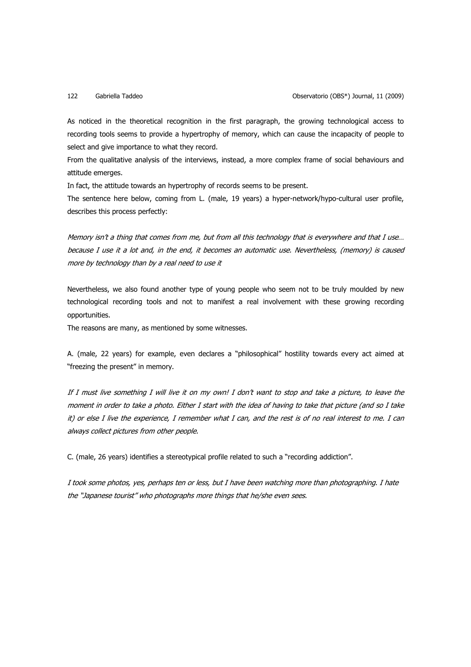As noticed in the theoretical recognition in the first paragraph, the growing technological access to recording tools seems to provide a hypertrophy of memory, which can cause the incapacity of people to select and give importance to what they record.

From the qualitative analysis of the interviews, instead, a more complex frame of social behaviours and attitude emerges.

In fact, the attitude towards an hypertrophy of records seems to be present.

The sentence here below, coming from L. (male, 19 years) a hyper-network/hypo-cultural user profile, describes this process perfectly:

Memory isn't a thing that comes from me, but from all this technology that is everywhere and that I use… because I use it a lot and, in the end, it becomes an automatic use. Nevertheless, (memory) is caused more by technology than by a real need to use it

Nevertheless, we also found another type of young people who seem not to be truly moulded by new technological recording tools and not to manifest a real involvement with these growing recording opportunities.

The reasons are many, as mentioned by some witnesses.

A. (male, 22 years) for example, even declares a "philosophical" hostility towards every act aimed at "freezing the present" in memory.

If I must live something I will live it on my own! I don't want to stop and take a picture, to leave the moment in order to take a photo. Either I start with the idea of having to take that picture (and so I take it) or else I live the experience, I remember what I can, and the rest is of no real interest to me. I can always collect pictures from other people.

C. (male, 26 years) identifies a stereotypical profile related to such a "recording addiction".

I took some photos, yes, perhaps ten or less, but I have been watching more than photographing. I hate the "Japanese tourist" who photographs more things that he/she even sees.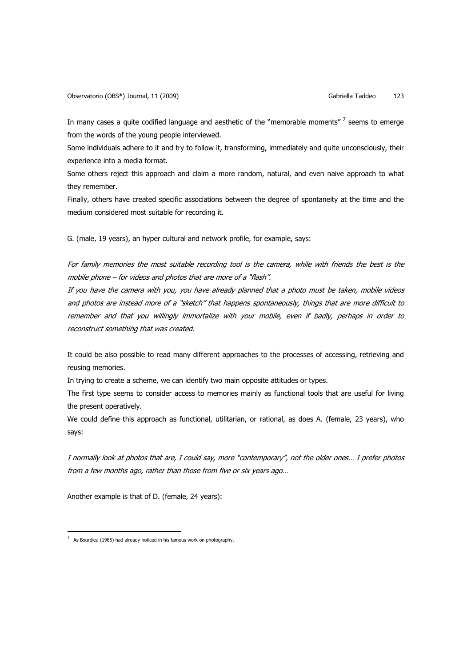In many cases a quite codified language and aesthetic of the "memorable moments"  $\frac{7}{7}$  seems to emerge from the words of the young people interviewed.

Some individuals adhere to it and try to follow it, transforming, immediately and quite unconsciously, their experience into a media format.

Some others reject this approach and claim a more random, natural, and even naive approach to what they remember.

Finally, others have created specific associations between the degree of spontaneity at the time and the medium considered most suitable for recording it.

G. (male, 19 years), an hyper cultural and network profile, for example, says:

For family memories the most suitable recording tool is the camera, while with friends the best is the mobile phone – for videos and photos that are more of a "flash".

If you have the camera with you, you have already planned that a photo must be taken, mobile videos and photos are instead more of a "sketch" that happens spontaneously, things that are more difficult to remember and that you willingly immortalize with your mobile, even if badly, perhaps in order to reconstruct something that was created.

It could be also possible to read many different approaches to the processes of accessing, retrieving and reusing memories.

In trying to create a scheme, we can identify two main opposite attitudes or types.

The first type seems to consider access to memories mainly as functional tools that are useful for living the present operatively.

We could define this approach as functional, utilitarian, or rational, as does A. (female, 23 years), who says:

I normally look at photos that are, I could say, more "contemporary", not the older ones… I prefer photos from a few months ago, rather than those from five or six years ago…

Another example is that of D. (female, 24 years):

 $\overline{a}$ 

 $7$  As Bourdieu (1965) had already noticed in his famous work on photography.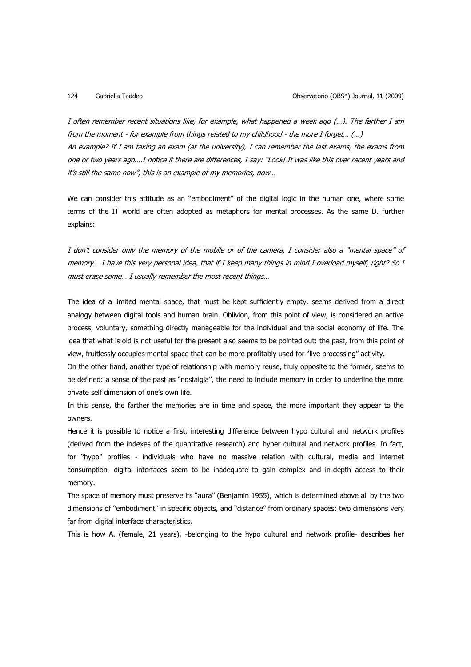I often remember recent situations like, for example, what happened a week ago (…). The farther I am from the moment - for example from things related to my childhood - the more I forget… (…) An example? If I am taking an exam (at the university), I can remember the last exams, the exams from one or two years ago….I notice if there are differences, I say: "Look! It was like this over recent years and it's still the same now", this is an example of my memories, now…

We can consider this attitude as an "embodiment" of the digital logic in the human one, where some terms of the IT world are often adopted as metaphors for mental processes. As the same D. further explains:

I don't consider only the memory of the mobile or of the camera, I consider also a "mental space" of memory… I have this very personal idea, that if I keep many things in mind I overload myself, right? So I must erase some… I usually remember the most recent things…

The idea of a limited mental space, that must be kept sufficiently empty, seems derived from a direct analogy between digital tools and human brain. Oblivion, from this point of view, is considered an active process, voluntary, something directly manageable for the individual and the social economy of life. The idea that what is old is not useful for the present also seems to be pointed out: the past, from this point of view, fruitlessly occupies mental space that can be more profitably used for "live processing" activity.

On the other hand, another type of relationship with memory reuse, truly opposite to the former, seems to be defined: a sense of the past as "nostalgia", the need to include memory in order to underline the more private self dimension of one's own life.

In this sense, the farther the memories are in time and space, the more important they appear to the owners.

Hence it is possible to notice a first, interesting difference between hypo cultural and network profiles (derived from the indexes of the quantitative research) and hyper cultural and network profiles. In fact, for "hypo" profiles - individuals who have no massive relation with cultural, media and internet consumption- digital interfaces seem to be inadequate to gain complex and in-depth access to their memory.

The space of memory must preserve its "aura" (Benjamin 1955), which is determined above all by the two dimensions of "embodiment" in specific objects, and "distance" from ordinary spaces: two dimensions very far from digital interface characteristics.

This is how A. (female, 21 years), -belonging to the hypo cultural and network profile- describes her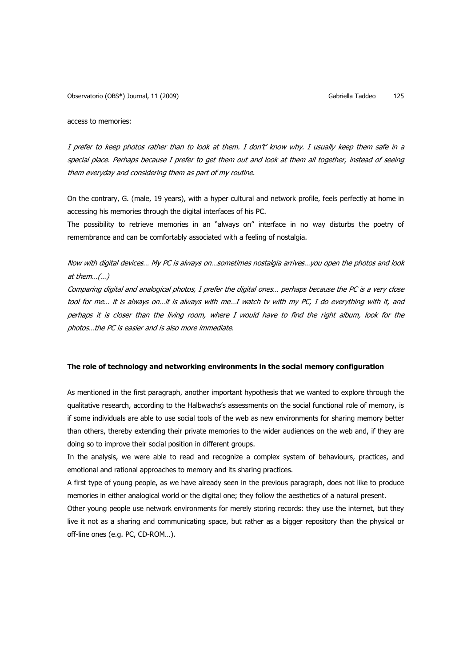access to memories:

I prefer to keep photos rather than to look at them. I don't' know why. I usually keep them safe in a special place. Perhaps because I prefer to get them out and look at them all together, instead of seeing them everyday and considering them as part of my routine.

On the contrary, G. (male, 19 years), with a hyper cultural and network profile, feels perfectly at home in accessing his memories through the digital interfaces of his PC.

The possibility to retrieve memories in an "always on" interface in no way disturbs the poetry of remembrance and can be comfortably associated with a feeling of nostalgia.

Now with digital devices… My PC is always on…sometimes nostalgia arrives…you open the photos and look at them $...(...)$ 

Comparing digital and analogical photos, I prefer the digital ones… perhaps because the PC is a very close tool for me… it is always on…it is always with me…I watch tv with my PC, I do everything with it, and perhaps it is closer than the living room, where I would have to find the right album, look for the photos…the PC is easier and is also more immediate.

### **The role of technology and networking environments in the social memory configuration**

As mentioned in the first paragraph, another important hypothesis that we wanted to explore through the qualitative research, according to the Halbwachs's assessments on the social functional role of memory, is if some individuals are able to use social tools of the web as new environments for sharing memory better than others, thereby extending their private memories to the wider audiences on the web and, if they are doing so to improve their social position in different groups.

In the analysis, we were able to read and recognize a complex system of behaviours, practices, and emotional and rational approaches to memory and its sharing practices.

A first type of young people, as we have already seen in the previous paragraph, does not like to produce memories in either analogical world or the digital one; they follow the aesthetics of a natural present.

Other young people use network environments for merely storing records: they use the internet, but they live it not as a sharing and communicating space, but rather as a bigger repository than the physical or off-line ones (e.g. PC, CD-ROM…).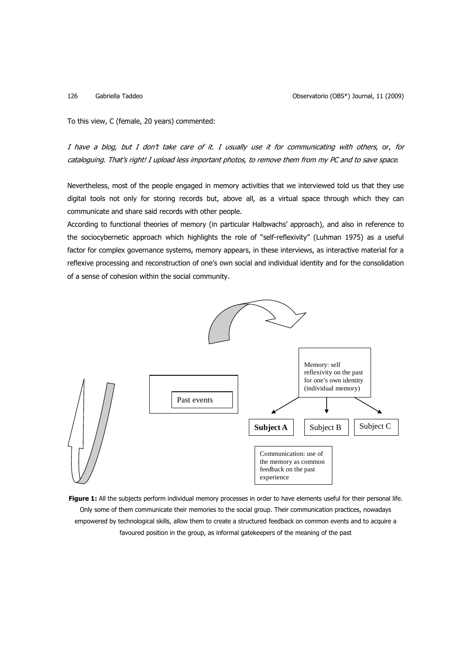126 Gabriella Taddeo Observatorio (OBS\*) Journal, 11 (2009)

To this view, C (female, 20 years) commented:

I have a blog, but I don't take care of it. I usually use it for communicating with others, or, for cataloguing. That's right! I upload less important photos, to remove them from my PC and to save space.

Nevertheless, most of the people engaged in memory activities that we interviewed told us that they use digital tools not only for storing records but, above all, as a virtual space through which they can communicate and share said records with other people.

According to functional theories of memory (in particular Halbwachs' approach), and also in reference to the sociocybernetic approach which highlights the role of "self-reflexivity" (Luhman 1975) as a useful factor for complex governance systems, memory appears, in these interviews, as interactive material for a reflexive processing and reconstruction of one's own social and individual identity and for the consolidation of a sense of cohesion within the social community.



**Figure 1:** All the subjects perform individual memory processes in order to have elements useful for their personal life. Only some of them communicate their memories to the social group. Their communication practices, nowadays empowered by technological skills, allow them to create a structured feedback on common events and to acquire a favoured position in the group, as informal gatekeepers of the meaning of the past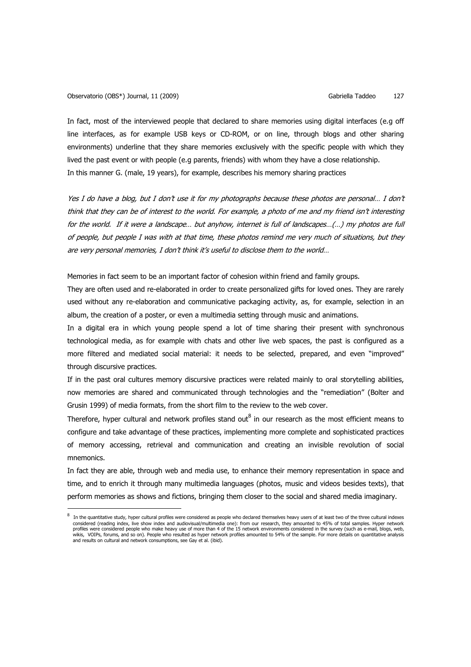l

In fact, most of the interviewed people that declared to share memories using digital interfaces (e.g off line interfaces, as for example USB keys or CD-ROM, or on line, through blogs and other sharing environments) underline that they share memories exclusively with the specific people with which they lived the past event or with people (e.g parents, friends) with whom they have a close relationship. In this manner G. (male, 19 years), for example, describes his memory sharing practices

Yes I do have a blog, but I don't use it for my photographs because these photos are personal… I don't think that they can be of interest to the world. For example, a photo of me and my friend isn't interesting for the world. If it were a landscape… but anyhow, internet is full of landscapes…(…) my photos are full of people, but people I was with at that time, these photos remind me very much of situations, but they are very personal memories, I don't think it's useful to disclose them to the world…

Memories in fact seem to be an important factor of cohesion within friend and family groups.

They are often used and re-elaborated in order to create personalized gifts for loved ones. They are rarely used without any re-elaboration and communicative packaging activity, as, for example, selection in an album, the creation of a poster, or even a multimedia setting through music and animations.

In a digital era in which young people spend a lot of time sharing their present with synchronous technological media, as for example with chats and other live web spaces, the past is configured as a more filtered and mediated social material: it needs to be selected, prepared, and even "improved" through discursive practices.

If in the past oral cultures memory discursive practices were related mainly to oral storytelling abilities, now memories are shared and communicated through technologies and the "remediation" (Bolter and Grusin 1999) of media formats, from the short film to the review to the web cover.

Therefore, hyper cultural and network profiles stand out $^8$  in our research as the most efficient means to configure and take advantage of these practices, implementing more complete and sophisticated practices of memory accessing, retrieval and communication and creating an invisible revolution of social mnemonics.

In fact they are able, through web and media use, to enhance their memory representation in space and time, and to enrich it through many multimedia languages (photos, music and videos besides texts), that perform memories as shows and fictions, bringing them closer to the social and shared media imaginary.

<sup>8</sup> In the quantitative study, hyper cultural profiles were considered as people who declared themselves heavy users of at least two of the three cultural indexes considered (reading index, live show index and audiovisual/multimedia one): from our research, they amounted to 45% of total samples. Hyper network profiles were considered people who make heavy use of more than 4 of the 15 network environments considered in the survey (such as e-mail, blogs, web, wikis, VOIPs, forums, and so on). People who resulted as hyper network profiles amounted to 54% of the sample. For more details on quantitative analysis<br>and results on cultural and network consumptions, see Gay et al. (ibi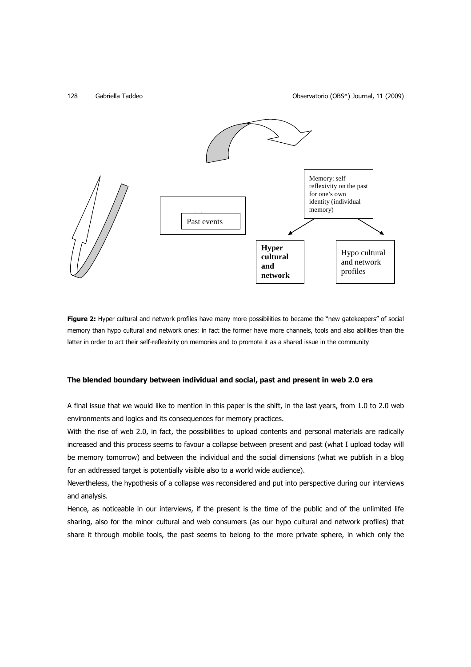

**Figure 2:** Hyper cultural and network profiles have many more possibilities to became the "new gatekeepers" of social memory than hypo cultural and network ones: in fact the former have more channels, tools and also abilities than the latter in order to act their self-reflexivity on memories and to promote it as a shared issue in the community

### **The blended boundary between individual and social, past and present in web 2.0 era**

A final issue that we would like to mention in this paper is the shift, in the last years, from 1.0 to 2.0 web environments and logics and its consequences for memory practices.

With the rise of web 2.0, in fact, the possibilities to upload contents and personal materials are radically increased and this process seems to favour a collapse between present and past (what I upload today will be memory tomorrow) and between the individual and the social dimensions (what we publish in a blog for an addressed target is potentially visible also to a world wide audience).

Nevertheless, the hypothesis of a collapse was reconsidered and put into perspective during our interviews and analysis.

Hence, as noticeable in our interviews, if the present is the time of the public and of the unlimited life sharing, also for the minor cultural and web consumers (as our hypo cultural and network profiles) that share it through mobile tools, the past seems to belong to the more private sphere, in which only the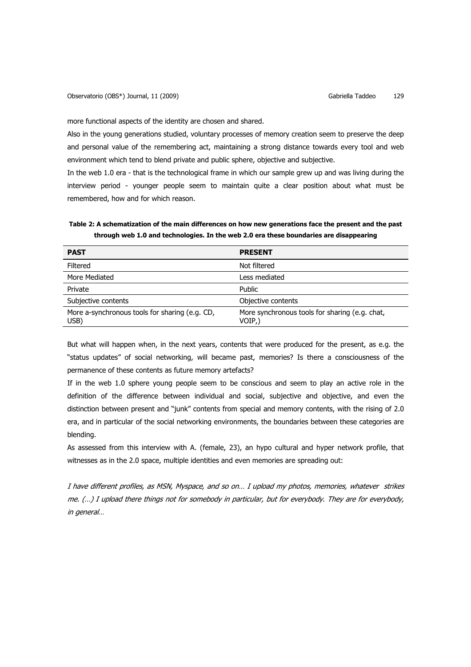more functional aspects of the identity are chosen and shared.

Also in the young generations studied, voluntary processes of memory creation seem to preserve the deep and personal value of the remembering act, maintaining a strong distance towards every tool and web environment which tend to blend private and public sphere, objective and subjective.

In the web 1.0 era - that is the technological frame in which our sample grew up and was living during the interview period - younger people seem to maintain quite a clear position about what must be remembered, how and for which reason.

**Table 2: A schematization of the main differences on how new generations face the present and the past through web 1.0 and technologies. In the web 2.0 era these boundaries are disappearing**

| <b>PRESENT</b>                                           |
|----------------------------------------------------------|
| Not filtered                                             |
| Less mediated                                            |
| Public                                                   |
| Objective contents                                       |
| More synchronous tools for sharing (e.g. chat,<br>VOIP,) |
|                                                          |

But what will happen when, in the next years, contents that were produced for the present, as e.g. the "status updates" of social networking, will became past, memories? Is there a consciousness of the permanence of these contents as future memory artefacts?

If in the web 1.0 sphere young people seem to be conscious and seem to play an active role in the definition of the difference between individual and social, subjective and objective, and even the distinction between present and "junk" contents from special and memory contents, with the rising of 2.0 era, and in particular of the social networking environments, the boundaries between these categories are blending.

As assessed from this interview with A. (female, 23), an hypo cultural and hyper network profile, that witnesses as in the 2.0 space, multiple identities and even memories are spreading out:

I have different profiles, as MSN, Myspace, and so on… I upload my photos, memories, whatever strikes me. (…) I upload there things not for somebody in particular, but for everybody. They are for everybody, in general…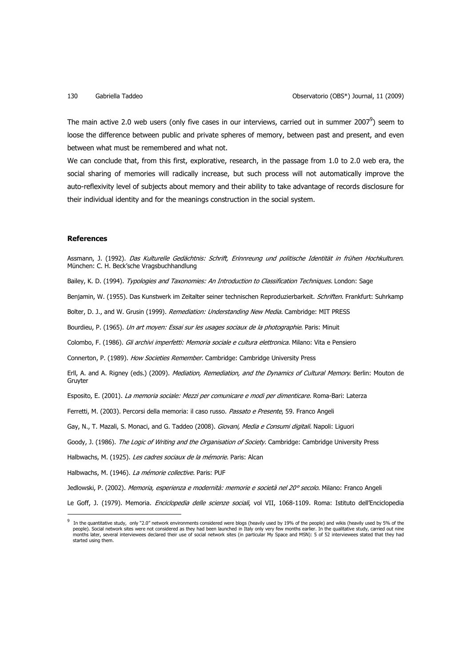The main active 2.0 web users (only five cases in our interviews, carried out in summer 2007 $^9$ ) seem to loose the difference between public and private spheres of memory, between past and present, and even between what must be remembered and what not.

We can conclude that, from this first, explorative, research, in the passage from 1.0 to 2.0 web era, the social sharing of memories will radically increase, but such process will not automatically improve the auto-reflexivity level of subjects about memory and their ability to take advantage of records disclosure for their individual identity and for the meanings construction in the social system.

### **References**

 $\overline{a}$ 

Assmann, J. (1992). Das Kulturelle Gedächtnis: Schrift, Erinnreung und politische Identität in frühen Hochkulturen. München: C. H. Beck'sche Vragsbuchhandlung

Bailey, K. D. (1994). Typologies and Taxonomies: An Introduction to Classification Techniques. London: Sage

Benjamin, W. (1955). Das Kunstwerk im Zeitalter seiner technischen Reproduzierbarkeit. Schriften. Frankfurt: Suhrkamp

Bolter, D. J., and W. Grusin (1999). Remediation: Understanding New Media. Cambridge: MIT PRESS

Bourdieu, P. (1965). Un art moyen: Essai sur les usages sociaux de la photographie. Paris: Minuit

Colombo, F. (1986). Gli archivi imperfetti: Memoria sociale e cultura elettronica. Milano: Vita e Pensiero

Connerton, P. (1989). How Societies Remember. Cambridge: Cambridge University Press

Erll, A. and A. Rigney (eds.) (2009). Mediation, Remediation, and the Dynamics of Cultural Memory. Berlin: Mouton de Gruyter

Esposito, E. (2001). La memoria sociale: Mezzi per comunicare e modi per dimenticare. Roma-Bari: Laterza

Ferretti, M. (2003). Percorsi della memoria: il caso russo. Passato e Presente, 59. Franco Angeli

Gay, N., T. Mazali, S. Monaci, and G. Taddeo (2008). Giovani, Media e Consumi digitali. Napoli: Liguori

Goody, J. (1986). The Logic of Writing and the Organisation of Society. Cambridge: Cambridge University Press

Halbwachs, M. (1925). Les cadres sociaux de la mémorie. Paris: Alcan

Halbwachs, M. (1946). La mémorie collective. Paris: PUF

Jedlowski, P. (2002). Memoria, esperienza e modernità: memorie e società nel 20° secolo. Milano: Franco Angeli

Le Goff, J. (1979). Memoria. Enciclopedia delle scienze sociali, vol VII, 1068-1109. Roma: Istituto dell'Enciclopedia

<sup>9</sup> In the quantitative study, only "2.0" network environments considered were blogs (heavily used by 19% of the people) and wikis (heavily used by 5% of the people). Social network sites were not considered as they had been launched in Italy only very few months earlier. In the qualitative study, carried out nine<br>months later, several interviewees declared their use of social started using them.